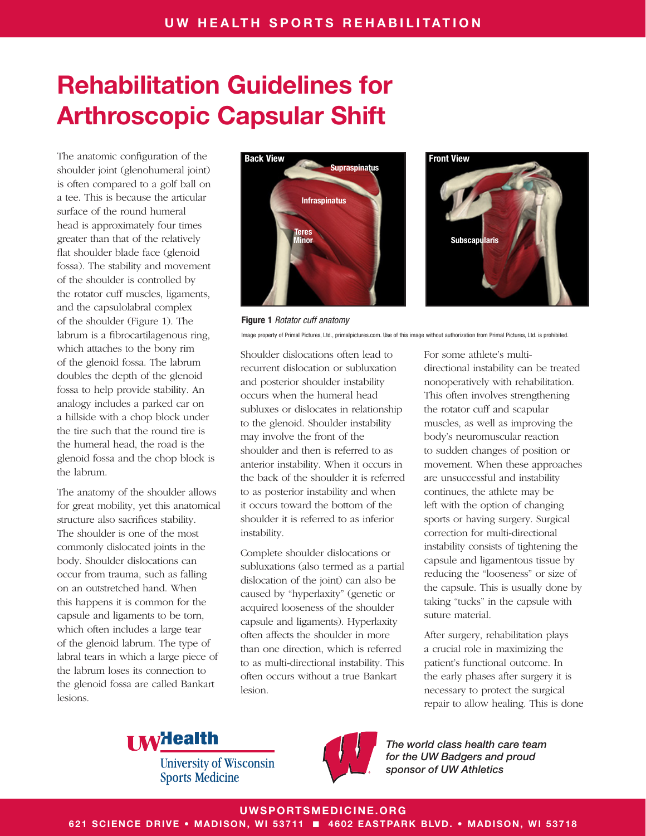The anatomic configuration of the shoulder joint (glenohumeral joint) is often compared to a golf ball on a tee. This is because the articular surface of the round humeral head is approximately four times greater than that of the relatively flat shoulder blade face (glenoid fossa). The stability and movement of the shoulder is controlled by the rotator cuff muscles, ligaments, and the capsulolabral complex of the shoulder (Figure 1). The labrum is a fibrocartilagenous ring, which attaches to the bony rim of the glenoid fossa. The labrum doubles the depth of the glenoid fossa to help provide stability. An analogy includes a parked car on a hillside with a chop block under the tire such that the round tire is the humeral head, the road is the glenoid fossa and the chop block is the labrum.

The anatomy of the shoulder allows for great mobility, yet this anatomical structure also sacrifices stability. The shoulder is one of the most commonly dislocated joints in the body. Shoulder dislocations can occur from trauma, such as falling on an outstretched hand. When this happens it is common for the capsule and ligaments to be torn, which often includes a large tear of the glenoid labrum. The type of labral tears in which a large piece of the labrum loses its connection to the glenoid fossa are called Bankart lesions.





Figure 1 *Rotator cuff anatomy* Image property of Primal Pictures, Ltd., primalpictures.com. Use of this image without authorization from Primal Pictures, Ltd. is prohibited.

Shoulder dislocations often lead to recurrent dislocation or subluxation and posterior shoulder instability occurs when the humeral head subluxes or dislocates in relationship to the glenoid. Shoulder instability may involve the front of the shoulder and then is referred to as anterior instability. When it occurs in the back of the shoulder it is referred to as posterior instability and when it occurs toward the bottom of the shoulder it is referred to as inferior instability.

Complete shoulder dislocations or subluxations (also termed as a partial dislocation of the joint) can also be caused by "hyperlaxity" (genetic or acquired looseness of the shoulder capsule and ligaments). Hyperlaxity often affects the shoulder in more than one direction, which is referred to as multi-directional instability. This often occurs without a true Bankart lesion.

For some athlete's multidirectional instability can be treated nonoperatively with rehabilitation. This often involves strengthening the rotator cuff and scapular muscles, as well as improving the body's neuromuscular reaction to sudden changes of position or movement. When these approaches are unsuccessful and instability continues, the athlete may be left with the option of changing sports or having surgery. Surgical correction for multi-directional instability consists of tightening the capsule and ligamentous tissue by reducing the "looseness" or size of the capsule. This is usually done by taking "tucks" in the capsule with suture material.

After surgery, rehabilitation plays a crucial role in maximizing the patient's functional outcome. In the early phases after surgery it is necessary to protect the surgical repair to allow healing. This is done



**University of Wisconsin Sports Medicine** 



*The world class health care team for the UW Badgers and proud sponsor of UW Athletics*

UWSPORTSMEDICINE.ORG

621 SCIENCE DRIVE • MADISON, WI 53711 ■ 4602 EASTPARK BLVD. • MADISON, WI 53718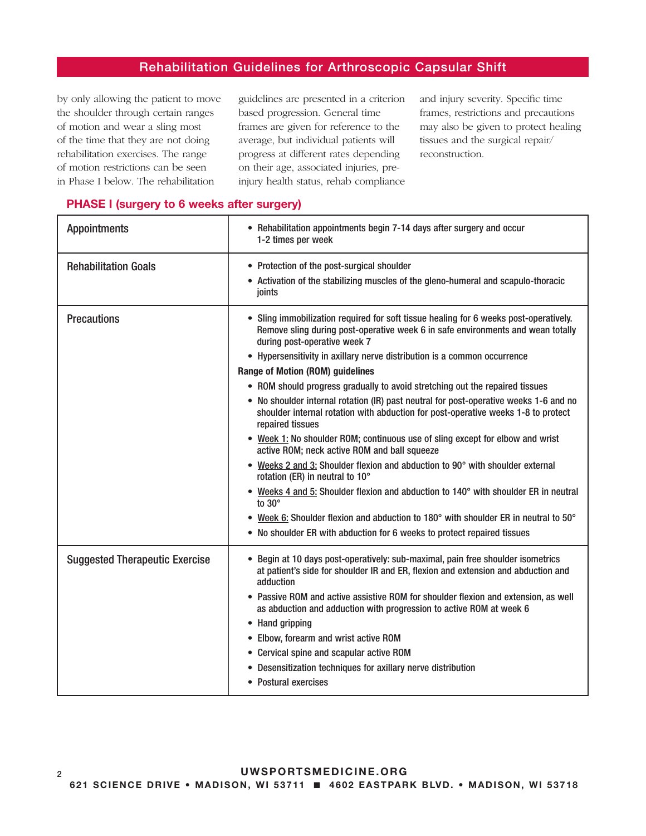by only allowing the patient to move the shoulder through certain ranges of motion and wear a sling most of the time that they are not doing rehabilitation exercises. The range of motion restrictions can be seen in Phase I below. The rehabilitation

guidelines are presented in a criterion based progression. General time frames are given for reference to the average, but individual patients will progress at different rates depending on their age, associated injuries, preinjury health status, rehab compliance and injury severity. Specific time frames, restrictions and precautions may also be given to protect healing tissues and the surgical repair/ reconstruction.

| <b>Appointments</b>                   | • Rehabilitation appointments begin 7-14 days after surgery and occur<br>1-2 times per week                                                                                                              |
|---------------------------------------|----------------------------------------------------------------------------------------------------------------------------------------------------------------------------------------------------------|
| <b>Rehabilitation Goals</b>           | • Protection of the post-surgical shoulder<br>• Activation of the stabilizing muscles of the gleno-humeral and scapulo-thoracic<br>joints                                                                |
| <b>Precautions</b>                    | • Sling immobilization required for soft tissue healing for 6 weeks post-operatively.<br>Remove sling during post-operative week 6 in safe environments and wean totally<br>during post-operative week 7 |
|                                       | • Hypersensitivity in axillary nerve distribution is a common occurrence                                                                                                                                 |
|                                       | <b>Range of Motion (ROM) guidelines</b>                                                                                                                                                                  |
|                                       | • ROM should progress gradually to avoid stretching out the repaired tissues                                                                                                                             |
|                                       | • No shoulder internal rotation (IR) past neutral for post-operative weeks 1-6 and no<br>shoulder internal rotation with abduction for post-operative weeks 1-8 to protect<br>repaired tissues           |
|                                       | • Week 1: No shoulder ROM; continuous use of sling except for elbow and wrist<br>active ROM; neck active ROM and ball squeeze                                                                            |
|                                       | • Weeks 2 and 3: Shoulder flexion and abduction to 90° with shoulder external<br>rotation (ER) in neutral to 10°                                                                                         |
|                                       | • Weeks 4 and 5: Shoulder flexion and abduction to 140° with shoulder ER in neutral<br>to $30^\circ$                                                                                                     |
|                                       | • Week 6: Shoulder flexion and abduction to 180° with shoulder ER in neutral to 50°                                                                                                                      |
|                                       | • No shoulder ER with abduction for 6 weeks to protect repaired tissues                                                                                                                                  |
| <b>Suggested Therapeutic Exercise</b> | • Begin at 10 days post-operatively: sub-maximal, pain free shoulder isometrics<br>at patient's side for shoulder IR and ER, flexion and extension and abduction and<br>adduction                        |
|                                       | • Passive ROM and active assistive ROM for shoulder flexion and extension, as well<br>as abduction and adduction with progression to active ROM at week 6                                                |
|                                       | • Hand gripping                                                                                                                                                                                          |
|                                       | • Elbow, forearm and wrist active ROM                                                                                                                                                                    |
|                                       | • Cervical spine and scapular active ROM                                                                                                                                                                 |
|                                       | • Desensitization techniques for axillary nerve distribution                                                                                                                                             |
|                                       | • Postural exercises                                                                                                                                                                                     |

#### PHASE I (surgery to 6 weeks after surgery)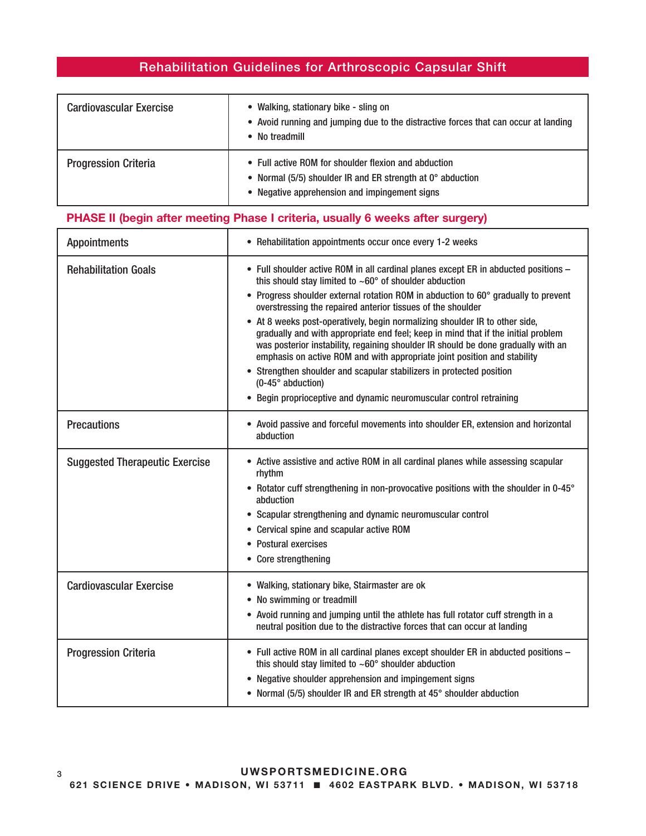| <b>Cardiovascular Exercise</b> | • Walking, stationary bike - sling on<br>• Avoid running and jumping due to the distractive forces that can occur at landing<br>• No treadmill                      |
|--------------------------------|---------------------------------------------------------------------------------------------------------------------------------------------------------------------|
| <b>Progression Criteria</b>    | • Full active ROM for shoulder flexion and abduction<br>• Normal (5/5) shoulder IR and ER strength at 0° abduction<br>• Negative apprehension and impingement signs |

## PHASE II (begin after meeting Phase I criteria, usually 6 weeks after surgery)

| <b>Appointments</b>                   | • Rehabilitation appointments occur once every 1-2 weeks                                                                                                                                                                                                                                                                                                                                                                                                                                                                                                                                                                                                                                                                                                                                                                    |
|---------------------------------------|-----------------------------------------------------------------------------------------------------------------------------------------------------------------------------------------------------------------------------------------------------------------------------------------------------------------------------------------------------------------------------------------------------------------------------------------------------------------------------------------------------------------------------------------------------------------------------------------------------------------------------------------------------------------------------------------------------------------------------------------------------------------------------------------------------------------------------|
| <b>Rehabilitation Goals</b>           | • Full shoulder active ROM in all cardinal planes except ER in abducted positions -<br>this should stay limited to $~50^{\circ}$ of shoulder abduction<br>• Progress shoulder external rotation ROM in abduction to 60° gradually to prevent<br>overstressing the repaired anterior tissues of the shoulder<br>• At 8 weeks post-operatively, begin normalizing shoulder IR to other side,<br>gradually and with appropriate end feel; keep in mind that if the initial problem<br>was posterior instability, regaining shoulder IR should be done gradually with an<br>emphasis on active ROM and with appropriate joint position and stability<br>• Strengthen shoulder and scapular stabilizers in protected position<br>$(0-45^\circ$ abduction)<br>• Begin proprioceptive and dynamic neuromuscular control retraining |
| <b>Precautions</b>                    | • Avoid passive and forceful movements into shoulder ER, extension and horizontal<br>abduction                                                                                                                                                                                                                                                                                                                                                                                                                                                                                                                                                                                                                                                                                                                              |
| <b>Suggested Therapeutic Exercise</b> | • Active assistive and active ROM in all cardinal planes while assessing scapular<br>rhythm<br>• Rotator cuff strengthening in non-provocative positions with the shoulder in 0-45°<br>abduction<br>• Scapular strengthening and dynamic neuromuscular control<br>• Cervical spine and scapular active ROM<br>• Postural exercises<br>• Core strengthening                                                                                                                                                                                                                                                                                                                                                                                                                                                                  |
| <b>Cardiovascular Exercise</b>        | • Walking, stationary bike, Stairmaster are ok<br>• No swimming or treadmill<br>• Avoid running and jumping until the athlete has full rotator cuff strength in a<br>neutral position due to the distractive forces that can occur at landing                                                                                                                                                                                                                                                                                                                                                                                                                                                                                                                                                                               |
| <b>Progression Criteria</b>           | • Full active ROM in all cardinal planes except shoulder ER in abducted positions -<br>this should stay limited to $~60^{\circ}$ shoulder abduction<br>• Negative shoulder apprehension and impingement signs<br>• Normal (5/5) shoulder IR and ER strength at 45° shoulder abduction                                                                                                                                                                                                                                                                                                                                                                                                                                                                                                                                       |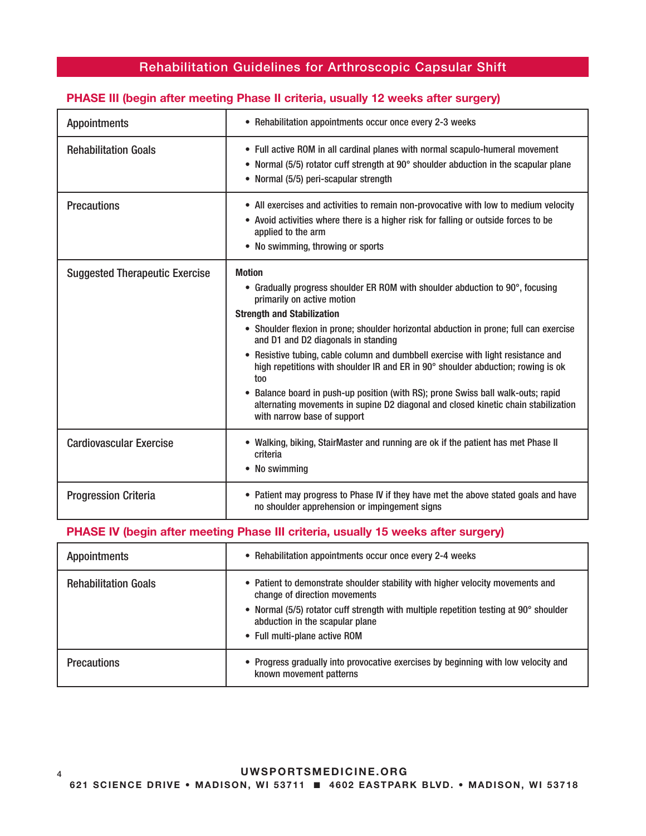# Appointments **•** Rehabilitation appointments occur once every 2-3 weeks Rehabilitation Goals **•** Full active ROM in all cardinal planes with normal scapulo-humeral movement • Normal (5/5) rotator cuff strength at 90° shoulder abduction in the scapular plane • Normal (5/5) peri-scapular strength **Precautions** • All exercises and activities to remain non-provocative with low to medium velocity • Avoid activities where there is a higher risk for falling or outside forces to be applied to the arm • No swimming, throwing or sports Suggested Therapeutic Exercise | Motion • Gradually progress shoulder ER ROM with shoulder abduction to 90°, focusing primarily on active motion Strength and Stabilization • Shoulder flexion in prone; shoulder horizontal abduction in prone; full can exercise and D1 and D2 diagonals in standing • Resistive tubing, cable column and dumbbell exercise with light resistance and high repetitions with shoulder IR and ER in 90° shoulder abduction; rowing is ok too • Balance board in push-up position (with RS); prone Swiss ball walk-outs; rapid alternating movements in supine D2 diagonal and closed kinetic chain stabilization with narrow base of support Cardiovascular Exercise • Walking, biking, StairMaster and running are ok if the patient has met Phase II criteria • No swimming **Progression Criteria** • Patient may progress to Phase IV if they have met the above stated goals and have no shoulder apprehension or impingement signs

#### PHASE III (begin after meeting Phase II criteria, usually 12 weeks after surgery)

#### PHASE IV (begin after meeting Phase III criteria, usually 15 weeks after surgery)

| <b>Appointments</b>         | • Rehabilitation appointments occur once every 2-4 weeks                                                                                                                                                                                                                     |
|-----------------------------|------------------------------------------------------------------------------------------------------------------------------------------------------------------------------------------------------------------------------------------------------------------------------|
| <b>Rehabilitation Goals</b> | • Patient to demonstrate shoulder stability with higher velocity movements and<br>change of direction movements<br>• Normal (5/5) rotator cuff strength with multiple repetition testing at 90° shoulder<br>abduction in the scapular plane<br>• Full multi-plane active ROM |
| <b>Precautions</b>          | • Progress gradually into provocative exercises by beginning with low velocity and<br>known movement patterns                                                                                                                                                                |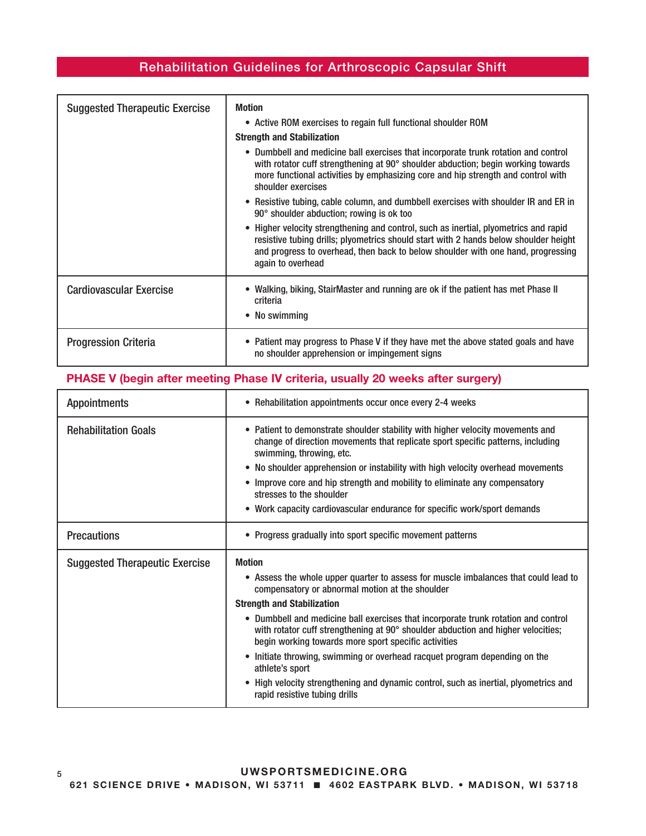| <b>Suggested Therapeutic Exercise</b> | <b>Motion</b><br>• Active ROM exercises to regain full functional shoulder ROM<br><b>Strength and Stabilization</b><br>• Dumbbell and medicine ball exercises that incorporate trunk rotation and control<br>with rotator cuff strengthening at 90° shoulder abduction; begin working towards<br>more functional activities by emphasizing core and hip strength and control with<br>shoulder exercises<br>• Resistive tubing, cable column, and dumbbell exercises with shoulder IR and ER in<br>90° shoulder abduction; rowing is ok too<br>• Higher velocity strengthening and control, such as inertial, plyometrics and rapid<br>resistive tubing drills; plyometrics should start with 2 hands below shoulder height<br>and progress to overhead, then back to below shoulder with one hand, progressing<br>again to overhead |
|---------------------------------------|-------------------------------------------------------------------------------------------------------------------------------------------------------------------------------------------------------------------------------------------------------------------------------------------------------------------------------------------------------------------------------------------------------------------------------------------------------------------------------------------------------------------------------------------------------------------------------------------------------------------------------------------------------------------------------------------------------------------------------------------------------------------------------------------------------------------------------------|
| <b>Cardiovascular Exercise</b>        | Walking, biking, StairMaster and running are ok if the patient has met Phase II<br>criteria<br>• No swimming                                                                                                                                                                                                                                                                                                                                                                                                                                                                                                                                                                                                                                                                                                                        |
| <b>Progression Criteria</b>           | • Patient may progress to Phase V if they have met the above stated goals and have<br>no shoulder apprehension or impingement signs                                                                                                                                                                                                                                                                                                                                                                                                                                                                                                                                                                                                                                                                                                 |

## PHASE V (begin after meeting Phase IV criteria, usually 20 weeks after surgery)

| <b>Appointments</b>                   | • Rehabilitation appointments occur once every 2-4 weeks                                                                                                                                                                                                                                                                                                                                                                                                                                                                                                                                                                                                 |
|---------------------------------------|----------------------------------------------------------------------------------------------------------------------------------------------------------------------------------------------------------------------------------------------------------------------------------------------------------------------------------------------------------------------------------------------------------------------------------------------------------------------------------------------------------------------------------------------------------------------------------------------------------------------------------------------------------|
| <b>Rehabilitation Goals</b>           | • Patient to demonstrate shoulder stability with higher velocity movements and<br>change of direction movements that replicate sport specific patterns, including<br>swimming, throwing, etc.<br>• No shoulder apprehension or instability with high velocity overhead movements<br>Improve core and hip strength and mobility to eliminate any compensatory<br>٠<br>stresses to the shoulder<br>• Work capacity cardiovascular endurance for specific work/sport demands                                                                                                                                                                                |
| <b>Precautions</b>                    | • Progress gradually into sport specific movement patterns                                                                                                                                                                                                                                                                                                                                                                                                                                                                                                                                                                                               |
| <b>Suggested Therapeutic Exercise</b> | <b>Motion</b><br>• Assess the whole upper quarter to assess for muscle imbalances that could lead to<br>compensatory or abnormal motion at the shoulder<br><b>Strength and Stabilization</b><br>• Dumbbell and medicine ball exercises that incorporate trunk rotation and control<br>with rotator cuff strengthening at 90° shoulder abduction and higher velocities;<br>begin working towards more sport specific activities<br>• Initiate throwing, swimming or overhead racquet program depending on the<br>athlete's sport<br>• High velocity strengthening and dynamic control, such as inertial, plyometrics and<br>rapid resistive tubing drills |